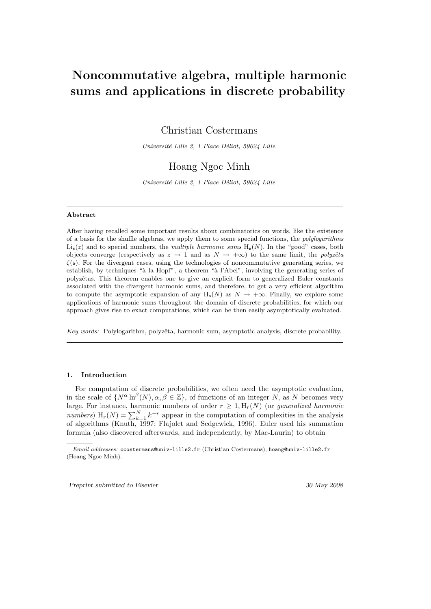# Noncommutative algebra, multiple harmonic sums and applications in discrete probability

Christian Costermans

Université Lille 2, 1 Place Déliot, 59024 Lille

# Hoang Ngoc Minh

Université Lille 2, 1 Place Déliot, 59024 Lille

#### Abstract

After having recalled some important results about combinatorics on words, like the existence of a basis for the shuffle algebras, we apply them to some special functions, the polylogarithms  $\text{Li}_s(z)$  and to special numbers, the *multiple harmonic sums*  $H_s(N)$ . In the "good" cases, both objects converge (respectively as  $z \to 1$  and as  $N \to +\infty$ ) to the same limit, the polyzêta  $\zeta(s)$ . For the divergent cases, using the technologies of noncommutative generating series, we establish, by techniques "à la Hopf", a theorem "à l'Abel", involving the generating series of polyzêtas. This theorem enables one to give an explicit form to generalized Euler constants associated with the divergent harmonic sums, and therefore, to get a very efficient algorithm to compute the asymptotic expansion of any  $H_s(N)$  as  $N \to +\infty$ . Finally, we explore some applications of harmonic sums throughout the domain of discrete probabilities, for which our approach gives rise to exact computations, which can be then easily asymptotically evaluated.

Key words: Polylogarithm, polyzêta, harmonic sum, asymptotic analysis, discrete probability.

### 1. Introduction

For computation of discrete probabilities, we often need the asymptotic evaluation, in the scale of  $\{N^{\alpha}\ln^{\beta}(N), \alpha, \beta \in \mathbb{Z}\}\,$ , of functions of an integer N, as N becomes very large. For instance, harmonic numbers of order  $r \geq 1, H_r(N)$  (or *generalized harmonic* numbers)  $H_r(N) = \sum_{k=1}^{N} k^{-r}$  appear in the computation of complexities in the analysis of algorithms (Knuth, 1997; Flajolet and Sedgewick, 1996). Euler used his summation formula (also discovered afterwards, and independently, by Mac-Laurin) to obtain

Preprint submitted to Elsevier 30 May 2008

Email addresses: ccostermans@univ-lille2.fr (Christian Costermans), hoang@univ-lille2.fr (Hoang Ngoc Minh).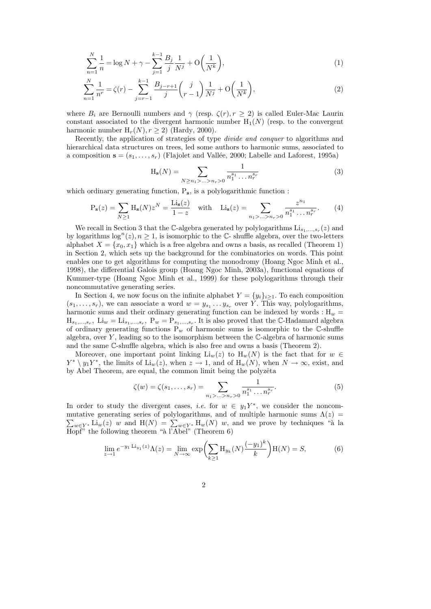$$
\sum_{n=1}^{N} \frac{1}{n} = \log N + \gamma - \sum_{j=1}^{k-1} \frac{B_j}{j} \frac{1}{N^j} + O\left(\frac{1}{N^k}\right),\tag{1}
$$

$$
\sum_{n=1}^{N} \frac{1}{n^r} = \zeta(r) - \sum_{j=r-1}^{k-1} \frac{B_{j-r+1}}{j} \binom{j}{r-1} \frac{1}{N^j} + \mathcal{O}\left(\frac{1}{N^k}\right),\tag{2}
$$

where  $B_i$  are Bernoulli numbers and  $\gamma$  (resp.  $\zeta(r), r \geq 2$ ) is called Euler-Mac Laurin constant associated to the divergent harmonic number  $H_1(N)$  (resp. to the convergent harmonic number  $H_r(N), r \ge 2$ ) (Hardy, 2000).

Recently, the application of strategies of type divide and conquer to algorithms and hierarchical data structures on trees, led some authors to harmonic sums, associated to a composition  $\mathbf{s} = (s_1, \ldots, s_r)$  (Flajolet and Vallée, 2000; Labelle and Laforest, 1995a)

$$
H_s(N) = \sum_{N \ge n_1 > \dots > n_r > 0} \frac{1}{n_1^{s_1} \dots n_r^{s_r}}
$$
(3)

which ordinary generating function,  $P_s$ , is a polylogarithmic function :

$$
P_s(z) = \sum_{N \ge 1} H_s(N) z^N = \frac{\text{Li}_s(z)}{1 - z} \quad \text{with} \quad \text{Li}_s(z) = \sum_{n_1 > \dots > n_r > 0} \frac{z^{n_1}}{n_1^{s_1} \dots n_r^{s_r}}.
$$
 (4)

We recall in Section 3 that the C-algebra generated by polylogarithms  $\text{Li}_{s_1,...,s_r}(z)$  and by logarithms  $\log^n(z)$ ,  $n \geq 1$ , is isomorphic to the C- shuffle algebra, over the two-letters alphabet  $X = \{x_0, x_1\}$  which is a free algebra and owns a basis, as recalled (Theorem 1) in Section 2, which sets up the background for the combinatorics on words. This point enables one to get algorithms for computing the monodromy (Hoang Ngoc Minh et al., 1998), the differential Galois group (Hoang Ngoc Minh, 2003a), functional equations of Kummer-type (Hoang Ngoc Minh et al., 1999) for these polylogarithms through their noncommutative generating series.

In Section 4, we now focus on the infinite alphabet  $Y = \{y_i\}_{i \geq 1}$ . To each composition  $(s_1, \ldots, s_r)$ , we can associate a word  $w = y_{s_1} \ldots y_{s_r}$  over Y. This way, polylogarithms, harmonic sums and their ordinary generating function can be indexed by words :  $\mathbf{H}_w$  =  $H_{s_1,\dots,s_r}$ ,  $Li_w = Li_{s_1,\dots,s_r}$ ,  $P_w = P_{s_1,\dots,s_r}$ . It is also proved that the C-Hadamard algebra of ordinary generating functions  $P_w$  of harmonic sums is isomorphic to the C-shuffle algebra, over  $Y$ , leading so to the isomorphism between the  $\mathbb{C}\text{-algebra}$  of harmonic sums and the same C-shuffle algebra, which is also free and owns a basis (Theorem 2).

Moreover, one important point linking  $\text{Li}_w(z)$  to  $\text{H}_w(N)$  is the fact that for  $w \in$  $Y^* \setminus y_1 Y^*$ , the limits of  $\text{Li}_w(z)$ , when  $z \to 1$ , and of  $\text{H}_w(N)$ , when  $N \to \infty$ , exist, and by Abel Theorem, are equal, the common limit being the polyzêta

$$
\zeta(w) = \zeta(s_1, \dots, s_r) = \sum_{n_1 > \dots > n_r > 0} \frac{1}{n_1^{s_1} \dots n_r^{s_r}}.
$$
\n(5)

In order to study the divergent cases, *i.e.* for  $w \in y_1Y^*$ , we consider the noncom- $\sum_{w\in Y^*} \text{Li}_w(z)$  w and  $H(N) = \sum_{w\in Y^*} H_w(N)$  w, and we prove by techniques "à la mutative generating series of polylogarithms, and of multiple harmonic sums  $\Lambda(z)$  = Hopf" the following theorem "à l'Abel" (Theorem  $6$ )

$$
\lim_{z \to 1} e^{-y_1 \operatorname{Li}_{y_1}(z)} \Lambda(z) = \lim_{N \to \infty} \exp \left( \sum_{k \ge 1} H_{y_k}(N) \frac{(-y_1)^k}{k} \right) H(N) = S,\tag{6}
$$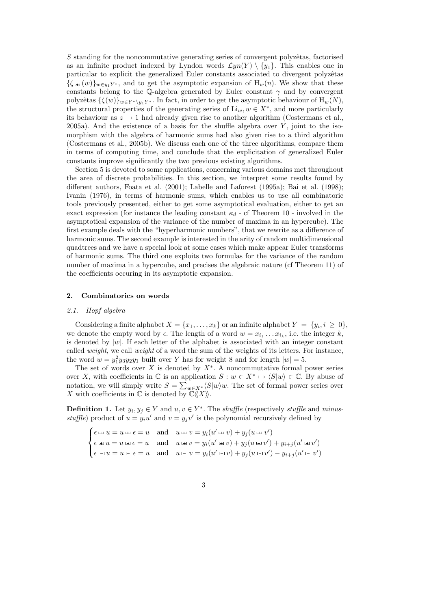$S$  standing for the noncommutative generating series of convergent polyzêtas, factorised as an infinite product indexed by Lyndon words  $\mathcal{L}yn(Y) \setminus \{y_1\}$ . This enables one in particular to explicit the generalized Euler constants associated to divergent polyzêtas  ${\{\zeta_{\pm 1}(w)\}}_{w\in y_1Y^*}$ , and to get the asymptotic expansion of  $H_w(n)$ . We show that these constants belong to the Q-algebra generated by Euler constant  $\gamma$  and by convergent polyzêtas  $\{\zeta(w)\}_{w\in Y^*\setminus y_1Y^*}$ . In fact, in order to get the asymptotic behaviour of  $H_w(N)$ , the structural properties of the generating series of  $\mathrm{Li}_w, w \in X^*$ , and more particularly its behaviour as  $z \to 1$  had already given rise to another algorithm (Costermans et al.,  $2005a$ ). And the existence of a basis for the shuffle algebra over  $Y$ , joint to the isomorphism with the algebra of harmonic sums had also given rise to a third algorithm (Costermans et al., 2005b). We discuss each one of the three algorithms, compare them in terms of computing time, and conclude that the explicitation of generalized Euler constants improve significantly the two previous existing algorithms.

Section 5 is devoted to some applications, concerning various domains met throughout the area of discrete probabilities. In this section, we interpret some results found by different authors, Foata et al. (2001); Labelle and Laforest (1995a); Bai et al. (1998); Ivanin (1976), in terms of harmonic sums, which enables us to use all combinatoric tools previously presented, either to get some asymptotical evaluation, either to get an exact expression (for instance the leading constant  $\kappa_d$  - cf Theorem 10 - involved in the asymptotical expansion of the variance of the number of maxima in an hypercube). The first example deals with the "hyperharmonic numbers", that we rewrite as a difference of harmonic sums. The second example is interested in the arity of random multidimensional quadtrees and we have a special look at some cases which make appear Euler transforms of harmonic sums. The third one exploits two formulas for the variance of the random number of maxima in a hypercube, and precises the algebraic nature (cf Theorem 11) of the coefficients occuring in its asymptotic expansion.

#### 2. Combinatorics on words

#### 2.1. Hopf algebra

Considering a finite alphabet  $X = \{x_1, \ldots, x_k\}$  or an infinite alphabet  $Y = \{y_i, i \geq 0\}$ , we denote the empty word by  $\epsilon$ . The length of a word  $w = x_{i_1} \dots x_{i_k}$ , i.e. the integer k, is denoted by  $|w|$ . If each letter of the alphabet is associated with an integer constant called weight, we call weight of a word the sum of the weights of its letters. For instance, the word  $w = y_1^2 y_3 y_2 y_1$  built over Y has for weight 8 and for length  $|w| = 5$ .

The set of words over X is denoted by  $X^*$ . A noncommutative formal power series over X, with coefficients in  $\mathbb C$  is an application  $S: w \in X^* \mapsto \langle S|w\rangle \in \mathbb C$ . By abuse of notation, we will simply write  $S = \sum_{w \in X^*} \langle S|w \rangle w$ . The set of formal power series over X with coefficients in  $\mathbb C$  is denoted by  $\mathbb C\langle\!\langle X\rangle\!\rangle$ .

**Definition 1.** Let  $y_i, y_j \in Y$  and  $u, v \in Y^*$ . The *shuffle* (respectively *stuffle* and *minus*stuffle) product of  $u = y_i u'$  and  $v = y_j v'$  is the polynomial recursively defined by

 $\sqrt{ }$  $\int$  $\overline{\mathcal{L}}$  $\epsilon \sqcup u = u \sqcup \epsilon = u$  and  $u \sqcup v = y_i(u' \sqcup v) + y_j(u \sqcup v')$  $\epsilon \equiv u = u \equiv \epsilon = u$  and  $u \equiv v = y_i(u' \equiv v) + y_j(u \equiv v') + y_{i+j}(u' \equiv v')$  $\epsilon = u = u \epsilon = u$  and  $u = v = y_i(u' = v) + y_j(u = v') - y_{i+j}(u' = v')$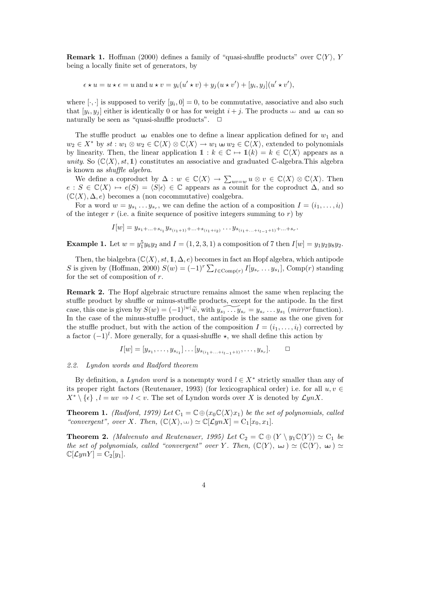**Remark 1.** Hoffman (2000) defines a family of "quasi-shuffle products" over  $\mathbb{C}\langle Y \rangle$ , Y being a locally finite set of generators, by

$$
\epsilon \star u = u \star \epsilon = u \text{ and } u \star v = y_i(u' \star v) + y_j(u \star v') + [y_i, y_j](u' \star v'),
$$

where  $[\cdot, \cdot]$  is supposed to verify  $[y_i, 0] = 0$ , to be commutative, associative and also such that  $[y_i, y_j]$  either is identically 0 or has for weight  $i + j$ . The products  $\Box$  and  $\Box$  can so naturally be seen as "quasi-shuffle products".

The stuffle product  $\equiv$  enables one to define a linear application defined for  $w_1$  and  $w_2 \in X^*$  by  $st : w_1 \otimes w_2 \in \mathbb{C}\langle X \rangle \otimes \mathbb{C}\langle X \rangle \to w_1 \oplus w_2 \in \mathbb{C}\langle X \rangle$ , extended to polynomials by linearity. Then, the linear application  $1 : k \in \mathbb{C} \mapsto 1(k) = k \in \mathbb{C}\langle X \rangle$  appears as a unity. So  $(\mathbb{C}\langle X\rangle, st, 1)$  constitutes an associative and graduated C-algebra. This algebra is known as shuffle algebra.

We define a coproduct by  $\Delta: w \in \mathbb{C}\langle X \rangle \to \sum_{uv=w} u \otimes v \in \mathbb{C}\langle X \rangle \otimes \mathbb{C}\langle X \rangle$ . Then  $e : S \in \mathbb{C}\langle X \rangle \mapsto e(S) = \langle S | \epsilon \rangle \in \mathbb{C}$  appears as a counit for the coproduct  $\Delta$ , and so  $(\mathbb{C}\langle X\rangle, \Delta, e)$  becomes a (non cocommutative) coalgebra.

For a word  $w = y_{s_1} \dots y_{s_r}$ , we can define the action of a composition  $I = (i_1, \dots, i_l)$ of the integer  $r$  (i.e. a finite sequence of positive integers summing to  $r$ ) by

 $I[w] = y_{s_1 + \ldots + s_{i_1}} y_{s_{(i_1+1)} + \ldots + s_{(i_1+i_2)}} \ldots y_{s_{(i_1 + \ldots + i_{l-1}+1)} + \ldots + s_r}.$ 

**Example 1.** Let  $w = y_1^5 y_6 y_2$  and  $I = (1, 2, 3, 1)$  a composition of 7 then  $I[w] = y_1 y_2 y_8 y_2$ .

Then, the bialgebra  $(\mathbb{C}\langle X\rangle, st, 1, \Delta, e)$  becomes in fact an Hopf algebra, which antipode S is given by (Hoffman, 2000)  $S(w) = (-1)^r \sum_{I \in \text{Comp}(r)} I[y_{s_r} \dots y_{s_1}]$ , Comp $(r)$  standing for the set of composition of r.

Remark 2. The Hopf algebraic structure remains almost the same when replacing the stuffle product by shuffle or minus-stuffle products, except for the antipode. In the first case, this one is given by  $S(w) = (-1)^{|w|} \widetilde{w}$ , with  $y_{s_1} \cdots y_{s_r} = y_{s_r} \cdots y_{s_1}$  (mirror function). In the case of the minus-stuffle product, the antipode is the same as the one given for the stuffle product, but with the action of the composition  $I = (i_1, \ldots, i_l)$  corrected by a factor  $(-1)^{l}$ . More generally, for a quasi-shuffle  $\star$ , we shall define this action by

$$
I[w] = [y_{s_1}, \dots, y_{s_{i_1}}] \dots [y_{s_{(i_1 + \dots + i_{l-1}+1)}}, \dots, y_{s_r}]. \square
$$

#### 2.2. Lyndon words and Radford theorem

By definition, a Lyndon word is a nonempty word  $l \in X^*$  strictly smaller than any of its proper right factors (Reutenauer, 1993) (for lexicographical order) i.e. for all  $u, v \in$  $X^* \setminus \{\epsilon\}, l = uv \Rightarrow l < v.$  The set of Lyndon words over X is denoted by  $\mathcal{L}ynX$ .

**Theorem 1.** (Radford, 1979) Let  $C_1 = \mathbb{C} \oplus (x_0 \mathbb{C} \langle X \rangle x_1)$  be the set of polynomials, called "convergent", over X. Then,  $(\mathbb{C}\langle X\rangle, \psi) \simeq \mathbb{C}[\mathcal{L}ynX] = C_1[x_0, x_1].$ 

**Theorem 2.** (Malvenuto and Reutenauer, 1995) Let  $C_2 = \mathbb{C} \oplus (Y \setminus y_1 \mathbb{C} \langle Y \rangle) \simeq C_1$  be the set of polynomials, called "convergent" over Y. Then,  $(\mathbb{C}\langle Y\rangle, \sqcup) \simeq (\mathbb{C}\langle Y\rangle, \sqcup) \simeq$  $\mathbb{C}[\mathcal{L}ynY] = \mathrm{C}_2[y_1].$ 

$$
4\phantom{1}
$$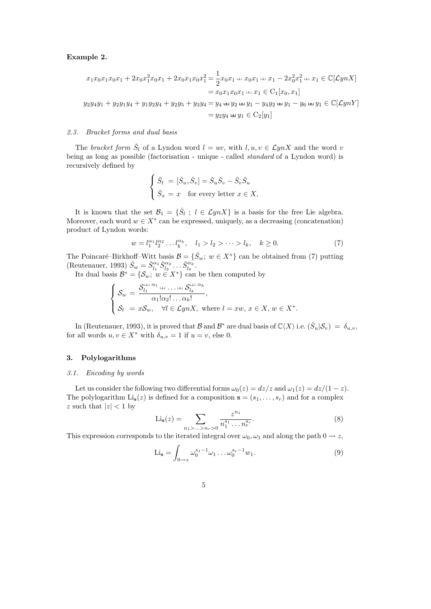# Example 2.

$$
x_1x_0x_1x_0x_1 + 2x_0x_1^2x_0x_1 + 2x_0x_1x_0x_1^2 = \frac{1}{2}x_0x_1 \cup x_0x_1 \cup x_1 - 2x_0^2x_1^2 \cup x_1 \in \mathbb{C}[\mathcal{L}ynX]
$$
  
=  $x_0x_1x_0x_1 \cup x_1 \in C_1[x_0, x_1]$   

$$
y_2y_4y_1 + y_2y_1y_4 + y_1y_2y_4 + y_2y_5 + y_3y_4 = y_4 \cup y_2 \cup y_1 - y_4y_2 \cup y_1 - y_6 \cup y_1 \in \mathbb{C}[\mathcal{L}ynY]
$$
  
=  $y_2y_4 \cup y_1 \in C_2[y_1]$ 

# 2.3. Bracket forms and dual basis

The bracket form  $\check{S}_l$  of a Lyndon word  $l = uv$ , with  $l, u, v \in \mathcal{L}ynX$  and the word v being as long as possible (factorisation - unique - called standard of a Lyndon word) is recursively defined by

$$
\begin{cases} \check{S}_l = [\check{S}_u, \check{S}_v] = \check{S}_u \check{S}_v - \check{S}_v \check{S}_u \\ \check{S}_x = x \quad \text{for every letter } x \in X, \end{cases}
$$

It is known that the set  $\mathcal{B}_1 = \{\check{S}_l : l \in \mathcal{L}ynX\}$  is a basis for the free Lie algebra. Moreover, each word  $w \in X^*$  can be expressed, uniquely, as a decreasing (concatenation) product of Lyndon words:

$$
w = l_1^{\alpha_1} l_2^{\alpha_2} \dots l_k^{\alpha_k}, \quad l_1 > l_2 > \dots > l_k, \quad k \ge 0.
$$
 (7)

The Poincaré–Birkhoff–Witt basis  $\mathcal{B} = {\{\check{S}_w; w \in X^*\}}$  can be obtained from (7) putting (Reutenauer, 1993)  $\check{S}_w = \check{S}_{l_1}^{\alpha_1} \check{S}_{l_2}^{\alpha_2} \dots \check{S}_{l_k}^{\alpha_k}.$ 

Its dual basis  $\mathcal{B}^* = \{ \mathcal{S}_w : w \in X^* \}$  can be then computed by

$$
\begin{cases}\n\mathcal{S}_w = \frac{\mathcal{S}_{l_1}^{\square} \cap \dots \cap \mathcal{S}_{l_k}^{\square} \cap \alpha_k}{\alpha_1! \alpha_2! \dots \alpha_k!}, \\
\mathcal{S}_l = x \mathcal{S}_w, \quad \forall l \in \mathcal{L}ynX, \text{ where } l = xw, \ x \in X, \ w \in X^*.\n\end{cases}
$$

In (Reutenauer, 1993), it is proved that B and  $\mathcal{B}^*$  are dual basis of  $\mathbb{C}\langle X\rangle$  i.e.  $(\check{S}_u|\mathcal{S}_v) = \delta_{u,v}$ , for all words  $u, v \in X^*$  with  $\delta_{u,v} = 1$  if  $u = v$ , else 0.

# 3. Polylogarithms

#### 3.1. Encoding by words

Let us consider the following two differential forms  $\omega_0(z) = dz/z$  and  $\omega_1(z) = dz/(1-z)$ . The polylogarithm  $\text{Li}_s(z)$  is defined for a composition  $\mathbf{s} = (s_1, \ldots, s_r)$  and for a complex z such that  $|z| < 1$  by

$$
\text{Li}_s(z) = \sum_{n_1 > \dots > n_r > 0} \frac{z^{n_1}}{n_1^{s_1} \dots n_r^{s_r}}.
$$
 (8)

This expression corresponds to the iterated integral over  $\omega_0$ ,  $\omega_1$  and along the path  $0 \rightsquigarrow z$ ,

$$
\text{Li}_s = \int_{0 \to z} \omega_0^{s_1 - 1} \omega_1 \dots \omega_0^{s_r - 1} w_1. \tag{9}
$$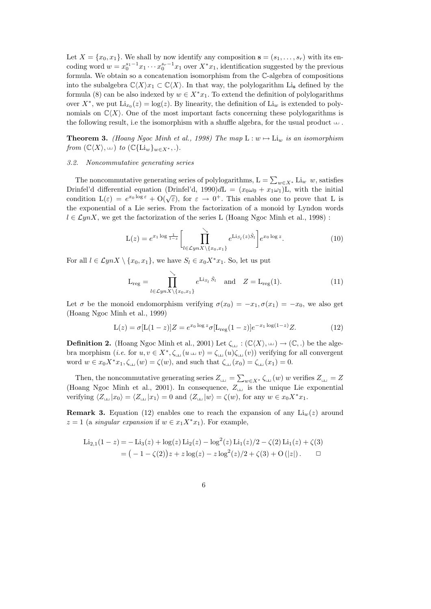Let  $X = \{x_0, x_1\}$ . We shall by now identify any composition  $\mathbf{s} = (s_1, \ldots, s_r)$  with its encoding word  $w = x_0^{s_1-1}x_1 \cdots x_0^{s_r-1}x_1$  over  $X^*x_1$ , identification suggested by the previous formula. We obtain so a concatenation isomorphism from the C-algebra of compositions into the subalgebra  $\mathbb{C}\langle X\rangle x_1 \subset \mathbb{C}\langle X\rangle$ . In that way, the polylogarithm Li<sub>s</sub> defined by the formula (8) can be also indexed by  $w \in X^*x_1$ . To extend the definition of polylogarithms over  $X^*$ , we put  $\text{Li}_{x_0}(z) = \log(z)$ . By linearity, the definition of  $\text{Li}_w$  is extended to polynomials on  $\mathbb{C}\langle X\rangle$ . One of the most important facts concerning these polylogarithms is the following result, i.e the isomorphism with a shuffle algebra, for the usual product  $\mathrel{\llcorner\!\llap{\ldots}$  .

**Theorem 3.** (Hoang Ngoc Minh et al., 1998) The map  $L : w \mapsto L_{1w}$  is an isomorphism from  $(\mathbb{C}\langle X\rangle, \mathbb{L})$  to  $(\mathbb{C}\{\mathrm{Li}_w\}_{w\in X^*}, \mathbb{L})$ .

# 3.2. Noncommutative generating series

The noncommutative generating series of polylogarithms,  $L = \sum_{w \in X^*} L_i w w$ , satisfies Drinfel'd differential equation (Drinfel'd, 1990)dL =  $(x_0\omega_0 + x_1\omega_1)$ L, with the initial condition  $L(\varepsilon) = e^{x_0 \log \varepsilon} + O(\sqrt{\varepsilon})$ , for  $\varepsilon \to 0^+$ . This enables one to prove that L is the exponential of a Lie series. From the factorization of a monoid by Lyndon words  $l \in \mathcal{L}ynX$ , we get the factorization of the series L (Hoang Ngoc Minh et al., 1998):

$$
\mathcal{L}(z) = e^{x_1 \log \frac{1}{1-z}} \left[ \prod_{l \in \mathcal{L}ynX \setminus \{x_0, x_1\}}^{\searrow} e^{\text{Li}_{S_l}(z)\check{S}_l} \right] e^{x_0 \log z}.
$$
 (10)

For all  $l \in \mathcal{L}ynX \setminus \{x_0, x_1\}$ , we have  $S_l \in x_0X^*x_1$ . So, let us put

$$
L_{reg} = \prod_{l \in \mathcal{L}ynX \setminus \{x_0, x_1\}}^{\searrow} e^{Li_{S_l} \check{S}_l} \quad \text{and} \quad Z = L_{reg}(1). \tag{11}
$$

Let  $\sigma$  be the monoid endomorphism verifying  $\sigma(x_0) = -x_1, \sigma(x_1) = -x_0$ , we also get (Hoang Ngoc Minh et al., 1999)

$$
L(z) = \sigma [L(1-z)]Z = e^{x_0 \log z} \sigma [L_{reg}(1-z)]e^{-x_1 \log(1-z)}Z.
$$
 (12)

**Definition 2.** (Hoang Ngoc Minh et al., 2001) Let  $\zeta_{\text{L}} : (\mathbb{C}\langle X\rangle, \text{L}) \to (\mathbb{C},.)$  be the algebra morphism (*i.e.* for  $u, v \in X^*, \zeta_{\text{in}}(u \text{ in } v) = \zeta_{\text{in}}(u)\zeta_{\text{in}}(v)$ ) verifying for all convergent word  $w \in x_0 X^* x_1, \zeta_{\text{L}}(w) = \zeta(w)$ , and such that  $\zeta_{\text{L}}(x_0) = \zeta_{\text{L}}(x_1) = 0$ .

Then, the noncommutative generating series  $Z_{\text{L} \text{L}} = \sum_{w \in X^*} \zeta_{\text{L} \text{L}}(w) w$  verifies  $Z_{\text{L} \text{L}} = Z$ (Hoang Ngoc Minh et al., 2001). In consequence,  $Z_{\text{L}i}$  is the unique Lie exponential verifying  $\langle Z_{\text{L}t} |x_0\rangle = \langle Z_{\text{L}t} |x_1\rangle = 0$  and  $\langle Z_{\text{L}t} |w\rangle = \zeta(w)$ , for any  $w \in x_0X^*x_1$ .

**Remark 3.** Equation (12) enables one to reach the expansion of any  $Li_w(z)$  around  $z = 1$  (a *singular expansion* if  $w \in x_1 X^* x_1$ ). For example,

$$
\text{Li}_{2,1}(1-z) = -\text{Li}_3(z) + \log(z) \text{Li}_2(z) - \log^2(z) \text{Li}_1(z)/2 - \zeta(2) \text{Li}_1(z) + \zeta(3)
$$
  
= (-1 - \zeta(2))z + z \log(z) - z \log^2(z)/2 + \zeta(3) + O(|z|).

6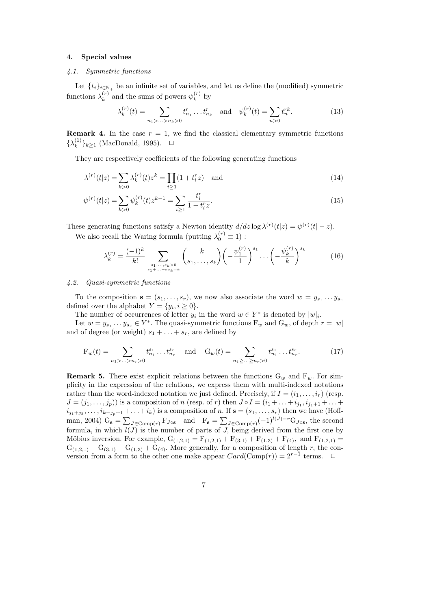# 4. Special values

# 4.1. Symmetric functions

Let  $\{t_i\}_{i\in\mathbb{N}_+}$  be an infinite set of variables, and let us define the (modified) symmetric functions  $\lambda_k^{(r)}$  $\mathbf{v}_k^{(r)}$  and the sums of powers  $\psi_k^{(r)}$  $\kappa^{(r)}$  by

$$
\lambda_k^{(r)}(\underline{t}) = \sum_{n_1 > \dots > n_k > 0} t_{n_1}^r \dots t_{n_k}^r \quad \text{and} \quad \psi_k^{(r)}(\underline{t}) = \sum_{n > 0} t_n^{rk}.
$$
 (13)

**Remark 4.** In the case  $r = 1$ , we find the classical elementary symmetric functions  $\{\lambda_k^{(1)}\}$  $\binom{1}{k} k \ge 1$  (MacDonald, 1995).  $\Box$ 

They are respectively coefficients of the following generating functions

$$
\lambda^{(r)}(\underline{t}|z) = \sum_{k>0} \lambda_k^{(r)}(\underline{t})z^k = \prod_{i\geq 1} (1+t_i^r z) \quad \text{and} \tag{14}
$$

$$
\psi^{(r)}(\underline{t}|z) = \sum_{k>0} \psi_k^{(r)}(\underline{t}) z^{k-1} = \sum_{i\geq 1} \frac{t_i^r}{1 - t_i^r z}.
$$
\n(15)

These generating functions satisfy a Newton identity  $d/dz \log \lambda^{(r)}(\underline{t}|z) = \psi^{(r)}(\underline{t}|-z)$ .

We also recall the Waring formula (putting  $\lambda_0^{(r)} \equiv 1$ ):

$$
\lambda_k^{(r)} = \frac{(-1)^k}{k!} \sum_{\substack{s_1, \dots, s_k > 0 \\ s_1 + \dots + k s_k = k}} \binom{k}{s_1, \dots, s_k} \left( -\frac{\psi_1^{(r)}}{1} \right)^{s_1} \dots \left( -\frac{\psi_k^{(r)}}{k} \right)^{s_k} \tag{16}
$$

# 4.2. Quasi-symmetric functions

To the composition  $\mathbf{s} = (s_1, \ldots, s_r)$ , we now also associate the word  $w = y_{s_1} \ldots y_{s_r}$ defined over the alphabet  $Y = \{y_i, i \geq 0\}.$ 

The number of occurrences of letter  $y_i$  in the word  $w \in Y^*$  is denoted by  $|w|_i$ .

Let  $w = y_{s_1} \dots y_{s_r} \in Y^*$ . The quasi-symmetric functions  $F_w$  and  $G_w$ , of depth  $r = |w|$ and of degree (or weight)  $s_1 + \ldots + s_r$ , are defined by

$$
F_w(\underline{t}) = \sum_{n_1 > \dots > n_r > 0} t_{n_1}^{s_1} \dots t_{n_r}^{s_r} \quad \text{and} \quad G_w(\underline{t}) = \sum_{n_1 \ge \dots \ge n_r > 0} t_{n_1}^{s_1} \dots t_{n_r}^{s_r}.
$$
 (17)

**Remark 5.** There exist explicit relations between the functions  $G_w$  and  $F_w$ . For simplicity in the expression of the relations, we express them with multi-indexed notations rather than the word-indexed notation we just defined. Precisely, if  $I = (i_1, \ldots, i_r)$  (resp.  $J = (j_1, \ldots, j_p)$  is a composition of n (resp. of r) then  $J \circ I = (i_1 + \ldots + i_{j_1}, i_{j_1+1} + \ldots + j_p)$  $i_{j_1+j_2},\ldots,i_{k-j_p+1}+\ldots+i_k)$  is a composition of n. If  $\mathbf{s}=(s_1,\ldots,s_r)$  then we have (Hoffman, 2004)  $G_s = \sum_{J \in \text{Comp}(r)} \mathbf{F}_{J \circ s}$  and  $\mathbf{F}_s = \sum_{J \in \text{Comp}(r)} (-1)^{l(J)-r} \mathbf{G}_{J \circ s}$ , the second formula, in which  $l(J)$  is the number of parts of J, being derived from the first one by Möbius inversion. For example,  $G_{(1,2,1)} = F_{(1,2,1)} + F_{(3,1)} + F_{(1,3)} + F_{(4)}$ , and  $F_{(1,2,1)} =$  $G_{(1,2,1)} - G_{(3,1)} - G_{(1,3)} + G_{(4)}$ . More generally, for a composition of length r, the conversion from a form to the other one make appear  $Card(\text{Comp}(r)) = 2^{r-1}$  terms.  $\Box$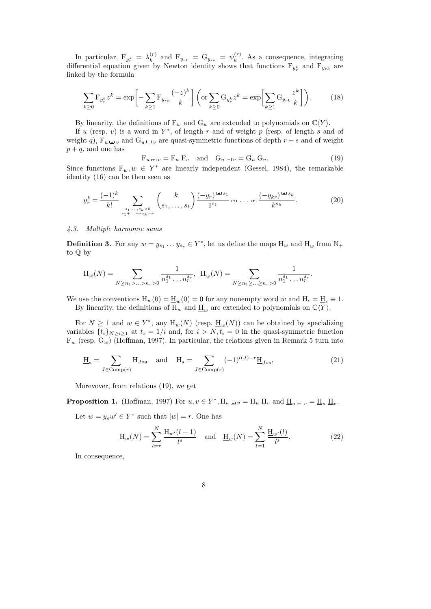In particular,  $F_{y_r^k} = \lambda_k^{(r)}$  $\mathbf{F}_{k}^{(r)}$  and  $\mathbf{F}_{y_{rk}} = \mathbf{G}_{y_{rk}} = \psi_k^{(r)}$  $k^{(r)}$ . As a consequence, integrating differential equation given by Newton identity shows that functions  $F_{y_r^k}$  and  $F_{y_{rk}}$  are linked by the formula

$$
\sum_{k\geq 0} \mathbf{F}_{y_r^k} z^k = \exp\bigg[-\sum_{k\geq 1} \mathbf{F}_{y_{rk}} \frac{(-z)^k}{k}\bigg] \left(\text{or } \sum_{k\geq 0} \mathbf{G}_{y_r^k} z^k = \exp\bigg[\sum_{k\geq 1} \mathbf{G}_{y_{rk}} \frac{z^k}{k}\bigg]\right). \tag{18}
$$

By linearity, the definitions of  $F_w$  and  $G_w$  are extended to polynomials on  $\mathbb{C}\langle Y \rangle$ .

If u (resp. v) is a word in  $Y^*$ , of length r and of weight p (resp. of length s and of weight q),  $F_{u \perp v}$  and  $G_{u \perp v}$  are quasi-symmetric functions of depth  $r + s$  and of weight  $p + q$ , and one has

$$
F_{u \perp v} = F_u F_v \quad \text{and} \quad G_{u \perp v} = G_u G_v. \tag{19}
$$

Since functions  $F_w, w \in Y^*$  are linearly independent (Gessel, 1984), the remarkable identity (16) can be then seen as

$$
y_r^k = \frac{(-1)^k}{k!} \sum_{\substack{s_1, \dots, s_k > 0 \\ s_1 + \dots + ks_k = k}} \binom{k}{s_1, \dots, s_k} \frac{(-y_r)^{\pm 1} s_1}{1^{s_1}} \pm \dots \pm \frac{(-y_{kr})^{\pm 1} s_k}{k^{s_k}}.
$$
 (20)

# 4.3. Multiple harmonic sums

**Definition 3.** For any  $w = y_{s_1} \dots y_{s_r} \in Y^*$ , let us define the maps  $H_w$  and  $\underline{H}_w$  from  $\mathbb{N}_+$ to Q by

$$
\mathcal{H}_w(N) = \sum_{N \ge n_1 > ... > n_r > 0} \frac{1}{n_1^{s_1} \dots n_r^{s_r}}, \ \ \underline{\mathcal{H}}_w(N) = \sum_{N \ge n_1 \ge ... \ge n_r > 0} \frac{1}{n_1^{s_1} \dots n_r^{s_r}}.
$$

We use the conventions  $H_w(0) = \underline{H}_w(0) = 0$  for any nonempty word w and  $H_\epsilon = \underline{H}_\epsilon \equiv 1$ . By linearity, the definitions of  $H_w$  and  $\underline{H}_w$  are extended to polynomials on  $\mathbb{C}\langle Y \rangle$ .

For  $N \geq 1$  and  $w \in Y^*$ , any  $H_w(N)$  (resp.  $\underline{H}_w(N)$ ) can be obtained by specializing variables  $\{t_i\}_{N>i>1}$  at  $t_i = 1/i$  and, for  $i > N$ ,  $t_i = 0$  in the quasi-symmetric function  $F_w$  (resp.  $G_w$ ) (Hoffman, 1997). In particular, the relations given in Remark 5 turn into

$$
\underline{H}_{s} = \sum_{J \in \text{Comp}(r)} H_{J \circ s} \quad \text{and} \quad H_{s} = \sum_{J \in \text{Comp}(r)} (-1)^{l(J)-r} \underline{H}_{J \circ s}, \tag{21}
$$

Morevover, from relations (19), we get

**Proposition 1.** (Hoffman, 1997) For  $u, v \in Y^*$ ,  $H_u \rightharpoonup v = H_u$   $H_v$  and  $\underline{H}_u \rightharpoonup v = \underline{H}_u \underline{H}_v$ .

Let  $w = y_s w' \in Y^*$  such that  $|w| = r$ . One has

$$
H_w(N) = \sum_{l=r}^{N} \frac{H_{w'}(l-1)}{l^s} \text{ and } \underline{H}_w(N) = \sum_{l=1}^{N} \frac{H_{w'}(l)}{l^s}.
$$
 (22)

In consequence,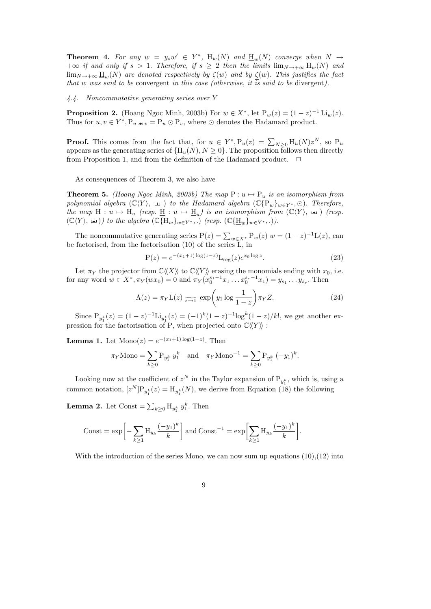**Theorem 4.** For any  $w = y_s w' \in Y^*$ ,  $H_w(N)$  and  $H_w(N)$  converge when  $N \to$  $+\infty$  if and only if  $s > 1$ . Therefore, if  $s \geq 2$  then the limits  $\lim_{N \to +\infty} H_w(N)$  and  $\lim_{N\to+\infty}\underline{H}_w(N)$  are denoted respectively by  $\zeta(w)$  and by  $\zeta(w)$ . This justifies the fact that w was said to be convergent in this case (otherwise, it is said to be divergent).

4.4. Noncommutative generating series over Y

**Proposition 2.** (Hoang Ngoc Minh, 2003b) For  $w \in X^*$ , let  $P_w(z) = (1 - z)^{-1} \text{Li}_w(z)$ . Thus for  $u, v \in Y^*$ ,  $P_u \rightharpoonup v = P_u \odot P_v$ , where  $\odot$  denotes the Hadamard product.

**Proof.** This comes from the fact that, for  $u \in Y^*$ ,  $P_u(z) = \sum_{N \geq 0} H_u(N) z^N$ , so  $P_u$ appears as the generating series of  $\{H_u(N), N \geq 0\}$ . The proposition follows then directly from Proposition 1, and from the definition of the Hadamard product.  $\Box$ 

As consequences of Theorem 3, we also have

**Theorem 5.** (Hoang Ngoc Minh, 2003b) The map  $P: u \mapsto P_u$  is an isomorphism from polynomial algebra  $(\mathbb{C}\langle Y \rangle, \pm)$  to the Hadamard algebra  $(\mathbb{C}\{\mathbb{P}_w\}_{w\in Y^*}, \odot)$ . Therefore, the map  $H: u \mapsto H_u$  (resp.  $\underline{H}: u \mapsto \underline{H}_u$ ) is an isomorphism from  $(\mathbb{C}\langle Y\rangle, \perp)$  (resp.  $(\mathbb{C}\langle Y\rangle, \Leftrightarrow)$ ) to the algebra  $(\mathbb{C}\{\mathbf{H}_w\}_{w\in Y^*}, \ldots)$  (resp.  $(\mathbb{C}\{\underline{\mathbf{H}}_w\}_{w\in Y^*}, \ldots)$ ).

The noncommutative generating series  $P(z) = \sum_{w \in X^*} P_w(z) w = (1 - z)^{-1} L(z)$ , can be factorised, from the factorisation (10) of the series L, in

$$
P(z) = e^{-(x_1+1)\log(1-z)} L_{reg}(z) e^{x_0 \log z}.
$$
 (23)

Let  $\pi_Y$  the projector from  $\mathbb{C}\langle\langle X\rangle\rangle$  to  $\mathbb{C}\langle\langle Y\rangle\rangle$  erasing the monomials ending with  $x_0$ , i.e. for any word  $w \in X^*$ ,  $\pi_Y(wx_0) = 0$  and  $\pi_Y(x_0^{s_1-1}x_1 \ldots x_0^{s_r-1}x_1) = y_{s_1} \ldots y_{s_r}$ . Then

$$
\Lambda(z) = \pi_Y \mathcal{L}(z) \underset{z \to 1}{\sim} \exp\left(y_1 \log \frac{1}{1 - z}\right) \pi_Y Z. \tag{24}
$$

Since  $P_{y_1^k}(z) = (1-z)^{-1}$   $Li_{y_1^k}(z) = (-1)^k (1-z)^{-1} log^k (1-z)/k!$ , we get another expression for the factorisation of P, when projected onto  $\mathbb{C}\langle\!\langle Y \rangle\!\rangle$ :

**Lemma 1.** Let  $\text{Mono}(z) = e^{-(x_1+1)\log(1-z)}$ . Then

$$
\pi_Y \text{Mono} = \sum_{k \ge 0} P_{y_1^k} y_1^k \text{ and } \pi_Y \text{Mono}^{-1} = \sum_{k \ge 0} P_{y_1^k} (-y_1)^k.
$$

Looking now at the coefficient of  $z^N$  in the Taylor expansion of  $P_{y_1^k}$ , which is, using a common notation,  $[z^N]P_{y_1^k}(z) = H_{y_1^k}(N)$ , we derive from Equation (18) the following

**Lemma 2.** Let Const =  $\sum_{k\geq 0} H_{y_1^k} y_1^k$ . Then

$$
\text{Const} = \exp\bigg[-\sum_{k\geq 1} \mathcal{H}_{y_k} \frac{(-y_1)^k}{k}\bigg] \text{ and } \text{Const}^{-1} = \exp\bigg[\sum_{k\geq 1} \mathcal{H}_{y_k} \frac{(-y_1)^k}{k}\bigg].
$$

With the introduction of the series Mono, we can now sum up equations  $(10),(12)$  into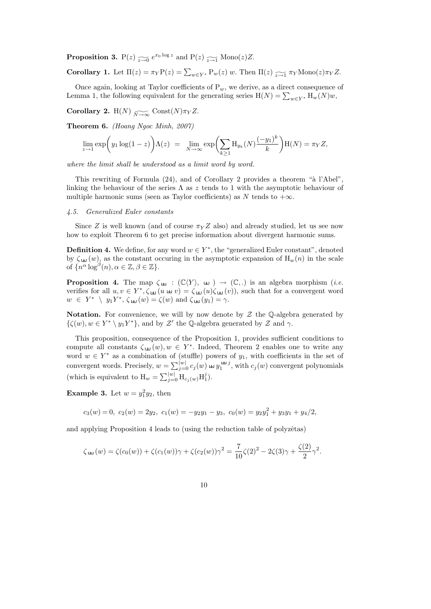**Proposition 3.** P(z)  $\widetilde{z} \to 0$   $e^{x_0 \log z}$  and P(z)  $\widetilde{z} \to 1$  Mono(z)Z.

**Corollary 1.** Let  $\Pi(z) = \pi_Y P(z) = \sum_{w \in Y^*} P_w(z) w$ . Then  $\Pi(z) \underset{z \to 1}{\sim} \pi_Y \text{Mono}(z) \pi_Y Z$ .

Once again, looking at Taylor coefficients of  $P_w$ , we derive, as a direct consequence of Lemma 1, the following equivalent for the generating series  $H(N) = \sum_{w \in Y^*} H_w(N)w$ ,

**Corollary 2.** H(N)  $\widetilde{N\rightarrow\infty}$  Const(N) $\pi_Y Z$ .

Theorem 6. (Hoang Ngoc Minh, 2007)

$$
\lim_{z \to 1} \exp\left(y_1 \log(1-z)\right) \Lambda(z) = \lim_{N \to \infty} \exp\left(\sum_{k \ge 1} \mathcal{H}_{y_k}(N) \frac{(-y_1)^k}{k}\right) \mathcal{H}(N) = \pi_Y Z,
$$

where the limit shall be understood as a limit word by word.

This rewriting of Formula  $(24)$ , and of Corollary 2 provides a theorem "à l'Abel". linking the behaviour of the series  $\Lambda$  as z tends to 1 with the asymptotic behaviour of multiple harmonic sums (seen as Taylor coefficients) as N tends to  $+\infty$ .

#### 4.5. Generalized Euler constants

Since Z is well known (and of course  $\pi_Y Z$  also) and already studied, let us see now how to exploit Theorem 6 to get precise information about divergent harmonic sums.

**Definition 4.** We define, for any word  $w \in Y^*$ , the "generalized Euler constant", denoted by  $\zeta_{\perp} (w)$ , as the constant occuring in the asymptotic expansion of  $\mathcal{H}_w(n)$  in the scale of  $\{n^{\alpha}\log^{\beta}(n), \alpha \in \mathbb{Z}, \beta \in \mathbb{Z}\}.$ 

**Proposition 4.** The map  $\zeta_{\pm} : (\mathbb{C}\langle Y \rangle, \pm) \rightarrow (\mathbb{C}, .)$  is an algebra morphism (*i.e.* verifies for all  $u, v \in Y^*, \zeta_{\perp} (u \Leftrightarrow v) = \zeta_{\perp} (u) \zeta_{\perp} (v)$ , such that for a convergent word  $w \in Y^* \setminus y_1Y^*, \zeta_{\pm 1}(w) = \zeta(w)$  and  $\zeta_{\pm 1}(y_1) = \gamma$ .

Notation. For convenience, we will by now denote by  $\mathcal Z$  the Q-algebra generated by  $\{\zeta(w), w \in Y^* \setminus y_1Y^*\}$ , and by  $\mathcal{Z}'$  the Q-algebra generated by  $\mathcal Z$  and  $\gamma$ .

This proposition, consequence of the Proposition 1, provides sufficient conditions to compute all constants  $\zeta_{\pm 1}(w), w \in Y^*$ . Indeed, Theorem 2 enables one to write any word  $w \in Y^*$  as a combination of (stuffle) powers of  $y_1$ , with coefficients in the set of convergent words. Precisely,  $w = \sum_{j=0}^{|w|} c_j(w) \exp \frac{y_1^{\pm i} j}{j}$ , with  $c_j(w)$  convergent polynomials (which is equivalent to  $H_w = \sum_{j=0}^{|w|} H_{c_j(w)} H_1^j$ ).

**Example 3.** Let  $w = y_1^2y_2$ , then

$$
c_3(w) = 0, \ c_2(w) = 2y_2, \ c_1(w) = -y_2y_1 - y_3, \ c_0(w) = y_2y_1^2 + y_3y_1 + y_4/2,
$$

and applying Proposition 4 leads to (using the reduction table of polyzêtas)

$$
\zeta_{\text{L}}(w) = \zeta(c_0(w)) + \zeta(c_1(w))\gamma + \zeta(c_2(w))\gamma^2 = \frac{7}{10}\zeta(2)^2 - 2\zeta(3)\gamma + \frac{\zeta(2)}{2}\gamma^2.
$$

10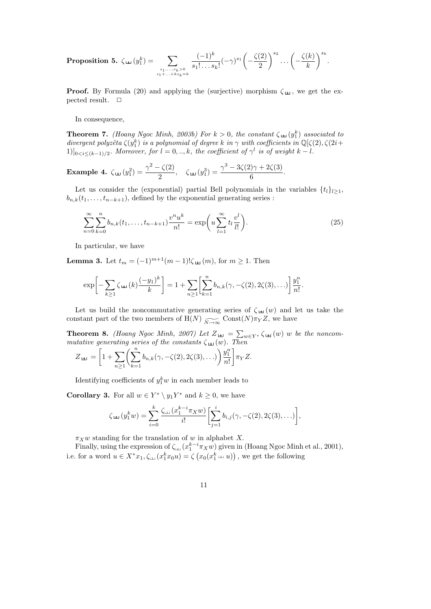**Proposition 5.** 
$$
\zeta_{\pm 1}(y_1^k) = \sum_{\substack{s_1,\ldots,s_k > 0 \\ s_1 + \ldots + k s_k = k}} \frac{(-1)^k}{s_1! \ldots s_k!} (-\gamma)^{s_1} \left(-\frac{\zeta(2)}{2}\right)^{s_2} \ldots \left(-\frac{\zeta(k)}{k}\right)^{s_k}.
$$

**Proof.** By Formula (20) and applying the (surjective) morphism  $\zeta_{\pm 1}$ , we get the expected result.  $\square$ 

In consequence,

**Theorem 7.** (Hoang Ngoc Minh, 2003b) For  $k > 0$ , the constant  $\zeta_{\pm 1}(y_1^k)$  associated to divergent polyzêta  $\zeta(y_1^k)$  is a polynomial of degree k in  $\gamma$  with coefficients in  $\mathbb{Q}[\zeta(2), \zeta(2i+1)]$  $[1]_{0 \le i \le (k-1)/2}$ . Moreover, for  $l = 0, ..., k$ , the coefficient of  $\gamma^l$  is of weight  $k - l$ .

**Example 4.** 
$$
\zeta_{\pm 1}(y_1^2) = \frac{\gamma^2 - \zeta(2)}{2}
$$
,  $\zeta_{\pm 1}(y_1^3) = \frac{\gamma^3 - 3\zeta(2)\gamma + 2\zeta(3)}{6}$ .

Let us consider the (exponential) partial Bell polynomials in the variables  $\{t_l\}_{l>1}$ ,  $b_{n,k}(t_1,\ldots,t_{n-k+1}),$  defined by the exponential generating series :

$$
\sum_{n=0}^{\infty} \sum_{k=0}^{n} b_{n,k}(t_1, \dots, t_{n-k+1}) \frac{v^n u^k}{n!} = \exp\left(u \sum_{l=1}^{\infty} t_l \frac{v^l}{l!}\right).
$$
\n(25)

In particular, we have

**Lemma 3.** Let  $t_m = (-1)^{m+1}(m-1)!\zeta_{\pm 1}(m)$ , for  $m \ge 1$ . Then

$$
\exp\bigg[-\sum_{k\geq 1}\zeta_{\perp}(\kappa)\frac{(-y_1)^k}{k}\bigg]=1+\sum_{n\geq 1}\bigg[\sum_{k=1}^n b_{n,k}(\gamma,-\zeta(2),2\zeta(3),\ldots)\bigg]\frac{y_1^n}{n!}.
$$

Let us build the noncommutative generating series of  $\zeta_{\pm 1}(w)$  and let us take the constant part of the two members of  $H(N)$   $\widetilde{N\rightarrow\infty}$  Const $(N)\pi_Y Z$ , we have

**Theorem 8.** (Hoang Ngoc Minh, 2007) Let  $Z_{\text{L}} = \sum_{w \in Y^*} \zeta_{\text{L}}(w)$  w be the noncommutative generating series of the constants  $\zeta_{\pm 1}(w)$ . Then

$$
Z_{\perp} = \left[1 + \sum_{n\geq 1} \left(\sum_{k=1}^n b_{n,k}(\gamma, -\zeta(2), 2\zeta(3), \ldots)\right) \frac{y_1^n}{n!} \right] \pi_Y Z.
$$

Identifying coefficients of  $y_1^k w$  in each member leads to

**Corollary 3.** For all  $w \in Y^* \setminus y_1Y^*$  and  $k \geq 0$ , we have

$$
\zeta_{\pm 1}(y_1^k w) = \sum_{i=0}^k \frac{\zeta_{\pm 1}(x_1^{k-i} \pi_X w)}{i!} \left[ \sum_{j=1}^i b_{i,j}(\gamma, -\zeta(2), 2\zeta(3), \ldots) \right],
$$

 $\pi_X w$  standing for the translation of w in alphabet X.

Finally, using the expression of  $\zeta_{\text{L}}(x_1^{k-i}\pi_Xw)$  given in (Hoang Ngoc Minh et al., 2001), i.e. for a word  $u \in X^*x_1, \zeta_{\text{in}}(x_1^k x_0 u) = \zeta(x_0(x_1^k \text{u}_1 u))$ , we get the following

11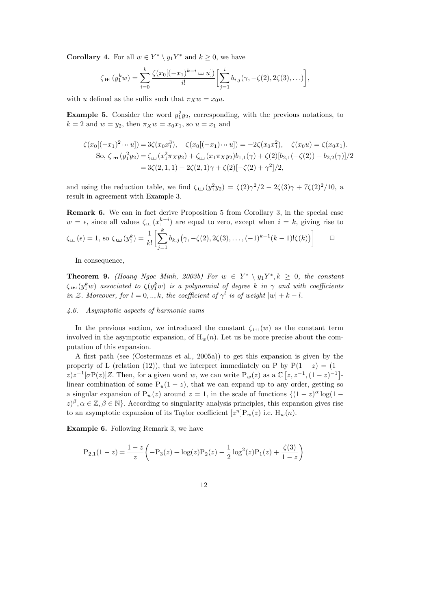**Corollary 4.** For all  $w \in Y^* \setminus y_1Y^*$  and  $k \geq 0$ , we have

$$
\zeta_{\pm 1}(y_1^k w) = \sum_{i=0}^k \frac{\zeta(x_0[(-x_1)^{k-i} \ln u])}{i!} \left[ \sum_{j=1}^i b_{i,j}(\gamma, -\zeta(2), 2\zeta(3), \ldots) \right],
$$

with u defined as the suffix such that  $\pi_X w = x_0 u$ .

**Example 5.** Consider the word  $y_1^2y_2$ , corresponding, with the previous notations, to  $k = 2$  and  $w = y_2$ , then  $\pi_X w = x_0 x_1$ , so  $u = x_1$  and

$$
\zeta(x_0[(-x_1)^2 \sqcup u]) = 3\zeta(x_0x_1^3), \quad \zeta(x_0[(-x_1) \sqcup u]) = -2\zeta(x_0x_1^2), \quad \zeta(x_0u) = \zeta(x_0x_1).
$$
  
So,  $\zeta_{\pm 1}(y_1^2y_2) = \zeta_{\pm 1}(x_1^2 \pi_X y_2) + \zeta_{\pm 1}(x_1 \pi_X y_2) b_{1,1}(\gamma) + \zeta(2)[b_{2,1}(-\zeta(2)) + b_{2,2}(\gamma)]/2$   

$$
= 3\zeta(2, 1, 1) - 2\zeta(2, 1)\gamma + \zeta(2)[-\zeta(2) + \gamma^2]/2,
$$

and using the reduction table, we find  $\zeta_{\pm 1}(y_1^2y_2) = \zeta(2)\gamma^2/2 - 2\zeta(3)\gamma + 7\zeta(2)^2/10$ , a result in agreement with Example 3.

Remark 6. We can in fact derive Proposition 5 from Corollary 3, in the special case  $w = \epsilon$ , since all values  $\zeta_{\text{L}}(x_1^{k-i})$  are equal to zero, except when  $i = k$ , giving rise to  $\zeta_{\text{th}}(\epsilon) = 1$ , so  $\zeta_{\text{th}}(y_1^k) = \frac{1}{k!}$  $\left[\sum_{k=1}^{k}\right]$  $j=1$  $b_{k,j}(\gamma, -\zeta(2), 2\zeta(3), \ldots, (-1)^{k-1}(k-1)!\zeta(k))$  $\Box$ 

In consequence,

**Theorem 9.** (Hoang Ngoc Minh, 2003b) For  $w \in Y^* \setminus y_1Y^*, k \geq 0$ , the constant  $\zeta_{\pm 1}(y_1^kw)$  associated to  $\zeta(y_1^kw)$  is a polynomial of degree k in  $\gamma$  and with coefficients in Z. Moreover, for  $l = 0, ..., k$ , the coefficient of  $\gamma^l$  is of weight  $|w| + k - l$ .

# 4.6. Asymptotic aspects of harmonic sums

In the previous section, we introduced the constant  $\zeta_{\pm 1}(w)$  as the constant term involved in the asymptotic expansion, of  $H_w(n)$ . Let us be more precise about the computation of this expansion.

A first path (see (Costermans et al., 2005a)) to get this expansion is given by the property of L (relation (12)), that we interpret immediately on P by  $P(1-z) = (1 - z)$  $z)z^{-1}[\sigma P(z)]Z$ . Then, for a given word w, we can write  $P_w(z)$  as a  $\mathbb{C} [z, z^{-1}, (1-z)^{-1}]$ linear combination of some  $P_u(1-z)$ , that we can expand up to any order, getting so a singular expansion of  $P_w(z)$  around  $z = 1$ , in the scale of functions  $\{(1-z)^{\alpha} \log(1-z)\}$  $(z)^\beta, \alpha \in \mathbb{Z}, \beta \in \mathbb{N}$ . According to singularity analysis principles, this expansion gives rise to an asymptotic expansion of its Taylor coefficient  $[z^n]P_w(z)$  i.e.  $H_w(n)$ .

Example 6. Following Remark 3, we have

$$
P_{2,1}(1-z) = \frac{1-z}{z} \left(-P_3(z) + \log(z)P_2(z) - \frac{1}{2}\log^2(z)P_1(z) + \frac{\zeta(3)}{1-z}\right)
$$

12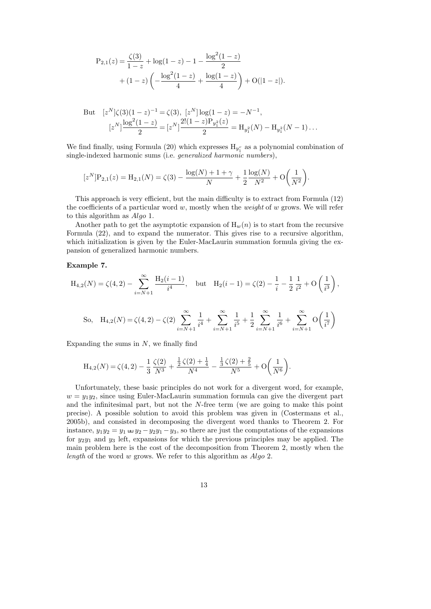$$
P_{2,1}(z) = \frac{\zeta(3)}{1-z} + \log(1-z) - 1 - \frac{\log^2(1-z)}{2} + (1-z)\left(-\frac{\log^2(1-z)}{4} + \frac{\log(1-z)}{4}\right) + O(|1-z|).
$$

But 
$$
[z^N]\zeta(3)(1-z)^{-1} = \zeta(3), [z^N] \log(1-z) = -N^{-1},
$$
  
\n $[z^N] \frac{\log^2(1-z)}{2} = [z^N] \frac{2!(1-z)P_{y_1^2}(z)}{2} = H_{y_1^2}(N) - H_{y_1^2}(N-1)...$ 

We find finally, using Formula (20) which expresses  $H_{y_1^r}$  as a polynomial combination of single-indexed harmonic sums (i.e. generalized harmonic numbers),

$$
[zN]P2,1(z) = H2,1(N) = \zeta(3) - \frac{\log(N) + 1 + \gamma}{N} + \frac{1}{2} \frac{\log(N)}{N^2} + O\left(\frac{1}{N^2}\right).
$$

This approach is very efficient, but the main difficulty is to extract from Formula (12) the coefficients of a particular word  $w$ , mostly when the *weight* of  $w$  grows. We will refer to this algorithm as Algo 1.

Another path to get the asymptotic expansion of  $H_w(n)$  is to start from the recursive Formula (22), and to expand the numerator. This gives rise to a recursive algorithm, which initialization is given by the Euler-MacLaurin summation formula giving the expansion of generalized harmonic numbers.

# Example 7.

$$
H_{4,2}(N) = \zeta(4,2) - \sum_{i=N+1}^{\infty} \frac{H_2(i-1)}{i^4}, \text{ but } H_2(i-1) = \zeta(2) - \frac{1}{i} - \frac{1}{2} \frac{1}{i^2} + O\left(\frac{1}{i^3}\right),
$$
  
So,  $H_{4,2}(N) = \zeta(4,2) - \zeta(2) \sum_{i=N+1}^{\infty} \frac{1}{i^4} + \sum_{i=N+1}^{\infty} \frac{1}{i^5} + \frac{1}{2} \sum_{i=N+1}^{\infty} \frac{1}{i^6} + \sum_{i=N+1}^{\infty} O\left(\frac{1}{i^7}\right)$ 

Expanding the sums in  $N$ , we finally find

$$
H_{4,2}(N) = \zeta(4,2) - \frac{1}{3} \frac{\zeta(2)}{N^3} + \frac{\frac{1}{2}\zeta(2) + \frac{1}{4}}{N^4} - \frac{\frac{1}{3}\zeta(2) + \frac{2}{5}}{N^5} + O\left(\frac{1}{N^6}\right).
$$

Unfortunately, these basic principles do not work for a divergent word, for example,  $w = y_1y_2$ , since using Euler-MacLaurin summation formula can give the divergent part and the infinitesimal part, but not the  $N$ -free term (we are going to make this point precise). A possible solution to avoid this problem was given in (Costermans et al., 2005b), and consisted in decomposing the divergent word thanks to Theorem 2. For instance,  $y_1y_2 = y_1 \oplus y_2 - y_2y_1 - y_3$ , so there are just the computations of the expansions for  $y_2y_1$  and  $y_3$  left, expansions for which the previous principles may be applied. The main problem here is the cost of the decomposition from Theorem 2, mostly when the length of the word w grows. We refer to this algorithm as  $Algo 2$ .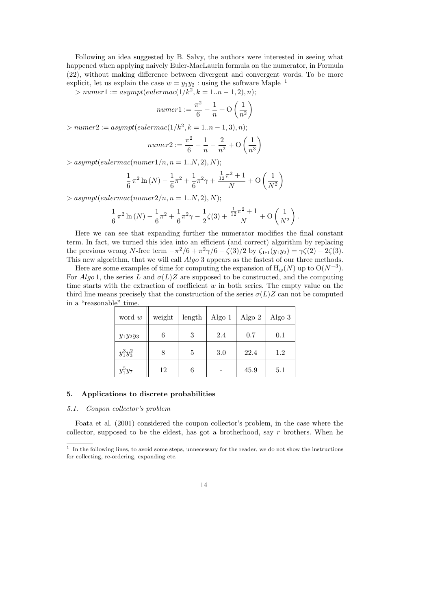Following an idea suggested by B. Salvy, the authors were interested in seeing what happened when applying naively Euler-MacLaurin formula on the numerator, in Formula (22), without making difference between divergent and convergent words. To be more explicit, let us explain the case  $w = y_1y_2$ : using the software Maple <sup>1</sup>

 $> number1 := asympt(eulermac(1/k^2, k = 1..n - 1, 2), n);$ 

$$
numer1 := \frac{\pi^2}{6} - \frac{1}{n} + O\left(\frac{1}{n^2}\right)
$$

 $> number2 := asympt(eulermac(1/k^2, k = 1..n - 1, 3), n);$ 

$$
numer2 := \frac{\pi^2}{6} - \frac{1}{n} - \frac{2}{n^2} + O\left(\frac{1}{n^3}\right)
$$

 $>$  asympt(eulermac(numer1/n, n = 1..N, 2), N);

$$
\frac{1}{6} \pi^2 \ln(N) - \frac{1}{6} \pi^2 + \frac{1}{6} \pi^2 \gamma + \frac{\frac{1}{12} \pi^2 + 1}{N} + O\left(\frac{1}{N^2}\right)
$$

 $>$  asympt(eulermac(numer2/n, n = 1..N, 2), N);

$$
\frac{1}{6}\pi^2\ln(N) - \frac{1}{6}\pi^2 + \frac{1}{6}\pi^2\gamma - \frac{1}{2}\zeta(3) + \frac{\frac{1}{12}\pi^2 + 1}{N} + O\left(\frac{1}{N^2}\right).
$$

Here we can see that expanding further the numerator modifies the final constant term. In fact, we turned this idea into an efficient (and correct) algorithm by replacing the previous wrong N-free term  $-\pi^2/6 + \pi^2/\sqrt{6} - \zeta(3)/2$  by  $\zeta_{\pm 1}(y_1y_2) = \gamma \zeta(2) - 2\zeta(3)$ . This new algorithm, that we will call *Algo* 3 appears as the fastest of our three methods.

Here are some examples of time for computing the expansion of  $H_w(N)$  up to  $O(N^{-3})$ . For Algo 1, the series L and  $\sigma(L)Z$  are supposed to be constructed, and the computing time starts with the extraction of coefficient  $w$  in both series. The empty value on the third line means precisely that the construction of the series  $\sigma(L)Z$  can not be computed in a "reasonable" time.

| word $w$     | weight | length | Algo $1$ | Algo $2$ | Algo $3$ |
|--------------|--------|--------|----------|----------|----------|
| $y_1y_2y_3$  | 6      | 3      | 2.4      | 0.7      | 0.1      |
| $y_1^3y_3^2$ | 8      | 5      | 3.0      | 22.4     | 1.2      |
| $y_1^5y_7$   | 12     | 6      |          | 45.9     | 5.1      |

# 5. Applications to discrete probabilities

### 5.1. Coupon collector's problem

Foata et al. (2001) considered the coupon collector's problem, in the case where the collector, supposed to be the eldest, has got a brotherhood, say r brothers. When he

<sup>&</sup>lt;sup>1</sup> In the following lines, to avoid some steps, unnecessary for the reader, we do not show the instructions for collecting, re-ordering, expanding etc.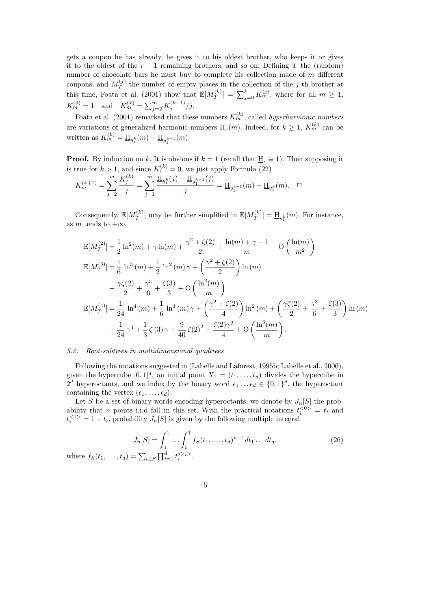gets a coupon he has already, he gives it to his oldest brother, who keeps it or gives it to the oldest of the  $r - 1$  remaining brothers, and so on. Defining T the (random) number of chocolate bars he must buy to complete his collection made of m different coupons, and  $M_T^{(j)}$  the number of empty places in the collection of the j-th brother at this time, Foata et al. (2001) show that  $\mathbb{E}[M_T^{(k)}]$  $T^{(k)}_T] = \sum_{j=0}^k K_m^{(j)}$ , where for all  $m \ge 1$ ,  $K_m^{(0)} = 1$  and  $K_m^{(k)} = \sum_{j=2}^m K_j^{(k-1)}/j$ .

Foata et al. (2001) remarked that these numbers  $K_m^{(k)}$ , called *hyperharmonic numbers* are variations of generalized harmonic numbers  $H_r(m)$ . Indeed, for  $k \geq 1$ ,  $K_m^{(k)}$  can be written as  $K_m^{(k)} = \underline{H}_{y_1^k}(m) - \underline{H}_{y_1^{k-1}}(m)$ .

**Proof.** By induction on k. It is obvious if  $k = 1$  (recall that  $\underline{H}_{\epsilon} \equiv 1$ ). Then supposing it is true for  $k > 1$ , and since  $K_1^{(k)} = 0$ , we just apply Formula (22)

$$
K_m^{(k+1)} = \sum_{j=2}^m \frac{K_j^{(k)}}{j} = \sum_{j=1}^m \frac{\underline{H}_{y_1^k}(j) - \underline{H}_{y_1^{k-1}}(j)}{j} = \underline{H}_{y_1^{k+1}}(m) - \underline{H}_{y_1^k}(m). \quad \Box
$$

Consequently,  $\mathbb{E}[M_T^{(k)}]$  $T^{(k)}$ ] may be further simplified in  $\mathbb{E}[M^{(k)}_T]$  $T^{(k)}_T$  =  $\underline{H}_{y_1^k}(m)$ . For instance, as m tends to  $+\infty$ ,

$$
\mathbb{E}[M_T^{(2)}] = \frac{1}{2}\ln^2(m) + \gamma \ln(m) + \frac{\gamma^2 + \zeta(2)}{2} + \frac{\ln(m) + \gamma - 1}{m} + O\left(\frac{\ln(m)}{m^2}\right)
$$
  
\n
$$
\mathbb{E}[M_T^{(3)}] = \frac{1}{6}\ln^3(m) + \frac{1}{2}\ln^2(m)\gamma + \left(\frac{\gamma^2 + \zeta(2)}{2}\right)\ln(m)
$$
  
\n
$$
+ \frac{\gamma\zeta(2)}{2} + \frac{\gamma^3}{6} + \frac{\zeta(3)}{3} + O\left(\frac{\ln^2(m)}{m}\right)
$$
  
\n
$$
\mathbb{E}[M_T^{(4)}] = \frac{1}{24}\ln^4(m) + \frac{1}{6}\ln^3(m)\gamma + \left(\frac{\gamma^2 + \zeta(2)}{4}\right)\ln^2(m) + \left(\frac{\gamma\zeta(2)}{2} + \frac{\gamma^3}{6} + \frac{\zeta(3)}{3}\right)\ln(m)
$$
  
\n
$$
+ \frac{1}{24}\gamma^4 + \frac{1}{3}\zeta(3)\gamma + \frac{9}{40}\zeta(2)^2 + \frac{\zeta(2)\gamma^2}{4} + O\left(\frac{\ln^3(m)}{m}\right).
$$

# 5.2. Root-subtrees in multidimensional quadtrees

Following the notations suggested in (Labelle and Laforest, 1995b; Labelle et al., 2006), given the hypercube  $[0,1]^d$ , an initial point  $X_1 = (t_1, \ldots, t_d)$  divides the hypercube in  $2^d$  hyperoctants, and we index by the binary word  $\epsilon_1 \ldots \epsilon_d \in \{0,1\}^d$ , the hyperoctant containing the vertex  $(\epsilon_1, \ldots, \epsilon_d)$ .

Let S be a set of binary words encoding hyperoctants, we denote by  $J_n[S]$  the probability that *n* points i.i.d fall in this set. With the practical notations  $t_i^{<0>} = t_i$  and  $t_i^{<1>} = 1-t_i$ , probability  $J_n[S]$  is given by the following multiple integral

$$
J_n[S] = \int_0^1 \dots \int_0^1 f_S(t_1, \dots, t_d)^{n-1} dt_1 \dots dt_d,
$$
  
where  $f_S(t_1, \dots, t_d) = \sum_{\epsilon \in S} \prod_{i=1}^d t_i^{<\epsilon_i>}$ . (26)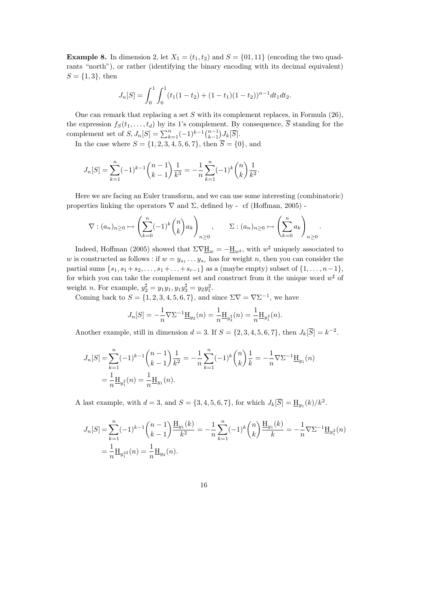**Example 8.** In dimension 2, let  $X_1 = (t_1, t_2)$  and  $S = \{01, 11\}$  (encoding the two quadrants "north"), or rather (identifying the binary encoding with its decimal equivalent)  $S = \{1, 3\}$ , then

$$
J_n[S] = \int_0^1 \int_0^1 (t_1(1-t_2) + (1-t_1)(1-t_2))^{n-1} dt_1 dt_2.
$$

One can remark that replacing a set S with its complement replaces, in Formula (26), the expression  $f_S(t_1, \ldots, t_d)$  by its 1's complement. By consequence,  $\overline{S}$  standing for the complement set of  $S, J_n[S] = \sum_{k=1}^n (-1)^{k-1} {n-1 \choose k-1} J_k[\overline{S}].$ 

In the case where  $S = \{1, 2, 3, 4, 5, 6, 7\}$ , then  $\overline{S} = \{0\}$ , and

$$
J_n[S] = \sum_{k=1}^n (-1)^{k-1} \binom{n-1}{k-1} \frac{1}{k^3} = -\frac{1}{n} \sum_{k=1}^n (-1)^k \binom{n}{k} \frac{1}{k^2}.
$$

Here we are facing an Euler transform, and we can use some interesting (combinatoric) properties linking the operators  $\nabla$  and  $\Sigma$ , defined by - cf (Hoffman, 2005) -

$$
\nabla : (a_n)_{n \geq 0} \mapsto \left(\sum_{k=0}^n (-1)^k \binom{n}{k} a_k\right)_{n \geq 0}, \qquad \Sigma : (a_n)_{n \geq 0} \mapsto \left(\sum_{k=0}^n a_k\right)_{n \geq 0}.
$$

Indeed, Hoffman (2005) showed that  $\Sigma \nabla \underline{H}_w = -\underline{H}_{w^{\sharp}}$ , with  $w^{\sharp}$  uniquely associated to w is constructed as follows : if  $w = y_{s_1} \dots y_{s_r}$  has for weight n, then you can consider the partial sums  $\{s_1, s_1 + s_2, \ldots, s_1 + \ldots + s_{r-1}\}$  as a (maybe empty) subset of  $\{1, \ldots, n-1\}$ , for which you can take the complement set and construct from it the unique word  $w^{\sharp}$  of weight *n*. For example,  $y_2^{\sharp} = y_1y_1, y_1y_3^{\sharp} = y_2y_1^2$ .

Coming back to  $S = \{1, 2, 3, 4, 5, 6, 7\}$ , and since  $\Sigma \nabla = \nabla \Sigma^{-1}$ , we have

$$
J_n[S] = -\frac{1}{n} \nabla \Sigma^{-1} \underline{\mathbf{H}}_{y_2}(n) = \frac{1}{n} \underline{\mathbf{H}}_{y_2^{\sharp}}(n) = \frac{1}{n} \underline{\mathbf{H}}_{y_1^2}(n).
$$

Another example, still in dimension  $d = 3$ . If  $S = \{2, 3, 4, 5, 6, 7\}$ , then  $J_k[\overline{S}] = k^{-2}$ .

$$
J_n[S] = \sum_{k=1}^n (-1)^{k-1} {n-1 \choose k-1} \frac{1}{k^2} = -\frac{1}{n} \sum_{k=1}^n (-1)^k {n \choose k} \frac{1}{k} = -\frac{1}{n} \nabla \Sigma^{-1} \underline{\mathbf{H}}_{y_1}(n)
$$
  
=  $\frac{1}{n} \underline{\mathbf{H}}_{y_1^k}(n) = \frac{1}{n} \underline{\mathbf{H}}_{y_1}(n).$ 

A last example, with  $d = 3$ , and  $S = \{3, 4, 5, 6, 7\}$ , for which  $J_k[\overline{S}] = \underline{H}_{y_1}(k)/k^2$ .

$$
J_n[S] = \sum_{k=1}^n (-1)^{k-1} {n-1 \choose k-1} \frac{\mathbb{H}_{y_1}(k)}{k^2} = -\frac{1}{n} \sum_{k=1}^n (-1)^k {n \choose k} \frac{\mathbb{H}_{y_1}(k)}{k} = -\frac{1}{n} \nabla \Sigma^{-1} \mathbb{H}_{y_1^2}(n)
$$
  
=  $\frac{1}{n} \mathbb{H}_{y_1^{2^*}}(n) = \frac{1}{n} \mathbb{H}_{y_2}(n).$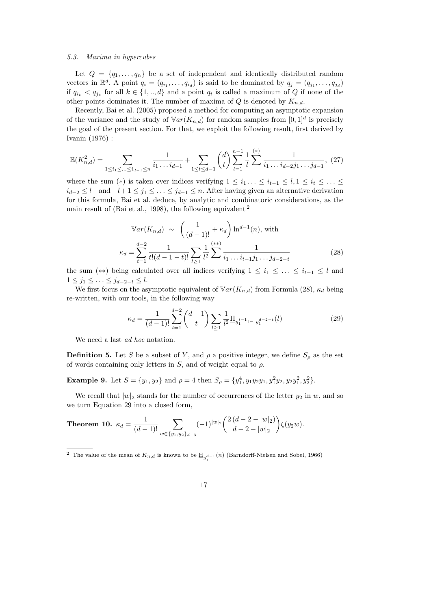### 5.3. Maxima in hypercubes

Let  $Q = \{q_1, \ldots, q_n\}$  be a set of independent and identically distributed random vectors in  $\mathbb{R}^d$ . A point  $q_i = (q_{i_1}, \ldots, q_{i_d})$  is said to be dominated by  $q_j = (q_{j_1}, \ldots, q_{j_d})$ if  $q_{i_k} < q_{j_k}$  for all  $k \in \{1, ..., d\}$  and a point  $q_i$  is called a maximum of Q if none of the other points dominates it. The number of maxima of  $Q$  is denoted by  $K_{n,d}$ .

Recently, Bai et al. (2005) proposed a method for computing an asymptotic expansion of the variance and the study of  $Var(K_{n,d})$  for random samples from  $[0,1]^d$  is precisely the goal of the present section. For that, we exploit the following result, first derived by Ivanin (1976) :

$$
\mathbb{E}(K_{n,d}^2) = \sum_{1 \le i_1 \le \dots \le i_{d-1} \le n} \frac{1}{i_1 \dots i_{d-1}} + \sum_{1 \le t \le d-1} \binom{d}{t} \sum_{l=1}^{n-1} \frac{1}{l} \sum_{i_1 \dots i_{d-2} j_1 \dots j_{d-1}}^{(*)}, (27)
$$

where the sum (\*) is taken over indices verifying  $1 \leq i_1 \ldots \leq i_{t-1} \leq l, 1 \leq i_t \leq \ldots \leq$  $i_{d-2} \leq l$  and  $l+1 \leq j_1 \leq \ldots \leq j_{d-1} \leq n$ . After having given an alternative derivation for this formula, Bai et al. deduce, by analytic and combinatoric considerations, as the main result of (Bai et al., 1998), the following equivalent <sup>2</sup>

$$
\mathbb{V}ar(K_{n,d}) \sim \left(\frac{1}{(d-1)!} + \kappa_d\right) \ln^{d-1}(n), \text{ with}
$$

$$
\kappa_d = \sum_{t=1}^{d-2} \frac{1}{t!(d-1-t)!} \sum_{l \ge 1} \frac{1}{l^2} \sum_{i=1}^{(\ast)} \frac{1}{i_1 \dots i_{t-1} j_1 \dots j_{d-2-t}} \tag{28}
$$

the sum (\*\*) being calculated over all indices verifying  $1 \leq i_1 \leq \ldots \leq i_{t-1} \leq l$  and  $1 \leq j_1 \leq \ldots \leq j_{d-2-t} \leq l.$ 

We first focus on the asymptotic equivalent of  $Var(K_{n,d})$  from Formula (28),  $\kappa_d$  being re-written, with our tools, in the following way

$$
\kappa_d = \frac{1}{(d-1)!} \sum_{t=1}^{d-2} {d-1 \choose t} \sum_{l \ge 1} \frac{1}{l^2} \underline{H}_{y_1^{t-1} \sqcup y_1^{d-2-t}}(l)
$$
\n(29)

We need a last *ad hoc* notation.

**Definition 5.** Let S be a subset of Y, and  $\rho$  a positive integer, we define  $S_\rho$  as the set of words containing only letters in  $S$ , and of weight equal to  $\rho$ .

**Example 9.** Let  $S = \{y_1, y_2\}$  and  $\rho = 4$  then  $S_\rho = \{y_1^4, y_1y_2y_1, y_1^2y_2, y_2y_1^2, y_2^2\}$ .

We recall that  $|w|_2$  stands for the number of occurrences of the letter  $y_2$  in w, and so we turn Equation 29 into a closed form,

**Theorem 10.** 
$$
\kappa_d = \frac{1}{(d-1)!} \sum_{w \in \{y_1, y_2\}_{d-3}} (-1)^{|w|_2} {2(d-2-|w|_2) \choose d-2-|w|_2} \underline{\zeta}(y_2 w).
$$

<sup>&</sup>lt;sup>2</sup> The value of the mean of  $K_{n,d}$  is known to be  $\underline{\mathrm{H}}_{y_1^{d-1}}(n)$  (Barndorff-Nielsen and Sobel, 1966)

<sup>17</sup>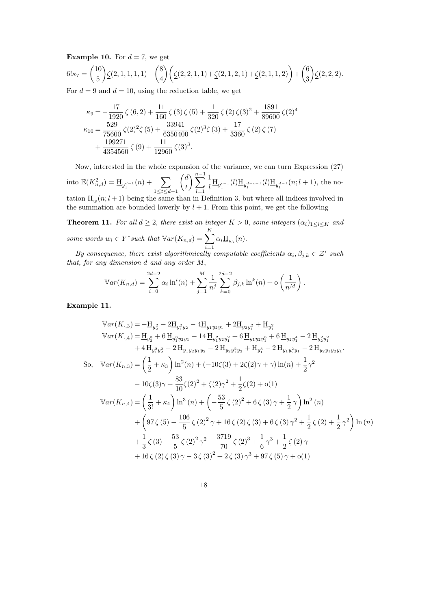**Example 10.** For  $d = 7$ , we get

$$
6! \kappa_7 = {10 \choose 5} \underline{\zeta}(2,1,1,1,1) - {8 \choose 4} \left( \underline{\zeta}(2,2,1,1) + \underline{\zeta}(2,1,2,1) + \underline{\zeta}(2,1,1,2) \right) + {6 \choose 3} \underline{\zeta}(2,2,2).
$$

For  $d = 9$  and  $d = 10$ , using the reduction table, we get

$$
\kappa_9 = -\frac{17}{1920} \zeta (6,2) + \frac{11}{160} \zeta (3) \zeta (5) + \frac{1}{320} \zeta (2) \zeta (3)^2 + \frac{1891}{89600} \zeta (2)^4 \n\kappa_{10} = \frac{529}{75600} \zeta (2)^2 \zeta (5) + \frac{33941}{6350400} \zeta (2)^3 \zeta (3) + \frac{17}{3360} \zeta (2) \zeta (7) \n+ \frac{199271}{4354560} \zeta (9) + \frac{11}{12960} \zeta (3)^3.
$$

Now, interested in the whole expansion of the variance, we can turn Expression (27) into  $\mathbb{E}(K_{n,d}^2) = \underline{H}_{y_1^{d-1}}(n) + \sum$  $1 \le t \le d-1$  d t  $\sum_{n=1}^{n-1}$  $l=1$ 1  $\frac{1}{l} \underline{H}_{y_1^{t-1}}(l) \underline{H}_{y_1^{d-t-1}}(l) \underline{H}_{y_1^{d-1}}(n; l+1)$ , the notation  $\underline{H}_w(n; l + 1)$  being the same than in Definition 3, but where all indices involved in the summation are bounded lowerly by  $l + 1$ . From this point, we get the following

**Theorem 11.** For all  $d \geq 2$ , there exist an integer  $K > 0$ , some integers  $(\alpha_i)_{1 \leq i \leq K}$  and some words  $w_i \in Y^*$ such that  $Var(K_{n,d}) = \sum_{i=1}^K$  $i=1$  $\alpha_i \underline{\mathrm{H}}_{w_i}(n)$ .

By consequence, there exist algorithmically computable coefficients  $\alpha_i, \beta_{j,k} \in \mathcal{Z}'$  such that, for any dimension d and any order M,

$$
\mathbb{V}ar(K_{n,d}) = \sum_{i=0}^{2d-2} \alpha_i \ln^i(n) + \sum_{j=1}^M \frac{1}{n^j} \sum_{k=0}^{2d-2} \beta_{j,k} \ln^k(n) + o\left(\frac{1}{n^M}\right).
$$

Example 11.

$$
\begin{split}\n\mathbb{V}ar(K_{\cdot,3}) &= -\underline{\mathrm{H}}_{y_{2}^{2}} + 2\underline{\mathrm{H}}_{y_{1}^{2}y_{2}} - 4\underline{\mathrm{H}}_{y_{1}y_{2}y_{1}} + 2\underline{\mathrm{H}}_{y_{2}y_{1}^{2}} + \underline{\mathrm{H}}_{y_{1}^{2}} \\
\mathbb{V}ar(K_{\cdot,4}) &= \underline{\mathrm{H}}_{y_{2}^{3}} + 6\underline{\mathrm{H}}_{y_{1}^{3}y_{2}y_{1}} - 14\underline{\mathrm{H}}_{y_{1}^{2}y_{2}y_{1}^{2}} + 6\underline{\mathrm{H}}_{y_{1}y_{2}y_{1}^{3}} + 6\underline{\mathrm{H}}_{y_{2}y_{1}^{4}} - 2\underline{\mathrm{H}}_{y_{2}y_{1}^{2}y_{1}} \\
&\quad + 4\underline{\mathrm{H}}_{y_{1}^{2}y_{2}^{2}} - 2\underline{\mathrm{H}}_{y_{1}y_{2}y_{1}y_{2}} - 2\underline{\mathrm{H}}_{y_{2}y_{1}^{2}y_{1}} - 2\underline{\mathrm{H}}_{y_{2}y_{1}y_{2}y_{1}}.\n\end{split}
$$
\nSo,\n
$$
\begin{split}\n\mathbb{V}ar(K_{n,3}) &= \left(\frac{1}{2} + \kappa_{3}\right)\ln^{2}(n) + (-10\zeta(3) + 2\zeta(2)\gamma + \gamma)\ln(n) + \frac{1}{2}\gamma^{2} \\
&\quad - 10\zeta(3)\gamma + \frac{83}{10}\zeta(2)^{2} + \zeta(2)\gamma^{2} + \frac{1}{2}\zeta(2) + o(1) \\
\mathbb{V}ar(K_{n,4}) &= \left(\frac{1}{3!} + \kappa_{4}\right)\ln^{3}(n) + \left(-\frac{53}{5}\zeta(2)^{2} + 6\zeta(3)\gamma + \frac{1}{2}\gamma\right)\ln^{2}(n) \\
&\quad + \left(97\zeta(5) - \frac{106}{5}\zeta(2)^{2}\gamma + 16\zeta(2)\zeta(3) + 6\zeta(3)\gamma^{2} + \frac{1}{2}\zeta(2) + \frac{1}{2}\gamma^{2}\right)\ln(n) \\
&
$$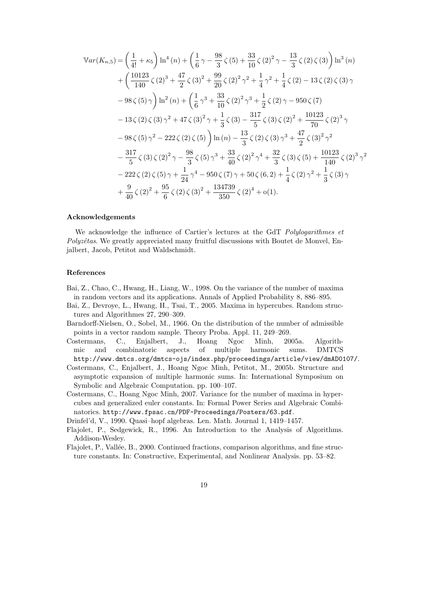$$
\begin{split}\n\n\mathbb{V}ar(K_{n,5}) &= \left(\frac{1}{4!} + \kappa_{5}\right) \ln^{4}(n) + \left(\frac{1}{6}\gamma - \frac{98}{3}\zeta(5) + \frac{33}{10}\zeta(2)^{2}\gamma - \frac{13}{3}\zeta(2)\zeta(3)\right) \ln^{3}(n) \\
&+ \left(\frac{10123}{140}\zeta(2)^{3} + \frac{47}{2}\zeta(3)^{2} + \frac{99}{20}\zeta(2)^{2}\gamma^{2} + \frac{1}{4}\gamma^{2} + \frac{1}{4}\zeta(2) - 13\zeta(2)\zeta(3)\gamma \\
&- 98\zeta(5)\gamma\right) \ln^{2}(n) + \left(\frac{1}{6}\gamma^{3} + \frac{33}{10}\zeta(2)^{2}\gamma^{3} + \frac{1}{2}\zeta(2)\gamma - 950\zeta(7) \\
&- 13\zeta(2)\zeta(3)\gamma^{2} + 47\zeta(3)^{2}\gamma + \frac{1}{3}\zeta(3) - \frac{317}{5}\zeta(3)\zeta(2)^{2} + \frac{10123}{70}\zeta(2)^{3}\gamma \\
&- 98\zeta(5)\gamma^{2} - 222\zeta(2)\zeta(5)\right) \ln(n) - \frac{13}{3}\zeta(2)\zeta(3)\gamma^{3} + \frac{47}{2}\zeta(3)^{2}\gamma^{2} \\
&- \frac{317}{5}\zeta(3)\zeta(2)^{2}\gamma - \frac{98}{3}\zeta(5)\gamma^{3} + \frac{33}{40}\zeta(2)^{2}\gamma^{4} + \frac{32}{3}\zeta(3)\zeta(5) + \frac{10123}{140}\zeta(2)^{3}\gamma^{2} \\
&- 222\zeta(2)\zeta(5)\gamma + \frac{1}{24}\gamma^{4} - 950\zeta(7)\gamma + 50\zeta(6,2) + \frac{1}{4}\zeta(2)\gamma^{2} + \frac{1}{3}\zeta(3)\gamma \\
&+ \frac{9}{40}\zeta(2)^{2} + \frac{95}{6}\zeta(2)\zeta(3)^{2} + \frac{134739}{350}\zeta(2)^{4} + o(1).\n\end
$$

### Acknowledgements

We acknowledge the influence of Cartier's lectures at the GdT Polylogarithmes et  $Polyzêtas$ . We greatly appreciated many fruitful discussions with Boutet de Monvel, Enjalbert, Jacob, Petitot and Waldschmidt.

# References

- Bai, Z., Chao, C., Hwang, H., Liang, W., 1998. On the variance of the number of maxima in random vectors and its applications. Annals of Applied Probability 8, 886–895.
- Bai, Z., Devroye, L., Hwang, H., Tsai, T., 2005. Maxima in hypercubes. Random structures and Algorithmes 27, 290–309.
- Barndorff-Nielsen, O., Sobel, M., 1966. On the distribution of the number of admissible points in a vector random sample. Theory Proba. Appl. 11, 249–269.
- Costermans, C., Enjalbert, J., Hoang Ngoc Minh, 2005a. Algorithmic and combinatoric aspects of multiple harmonic sums. DMTCS http://www.dmtcs.org/dmtcs-ojs/index.php/proceedings/article/view/dmAD0107/.
- Costermans, C., Enjalbert, J., Hoang Ngoc Minh, Petitot, M., 2005b. Structure and asymptotic expansion of multiple harmonic sums. In: International Symposium on Symbolic and Algebraic Computation. pp. 100–107.
- Costermans, C., Hoang Ngoc Minh, 2007. Variance for the number of maxima in hypercubes and generalized euler constants. In: Formal Power Series and Algebraic Combinatorics. http://www.fpsac.cn/PDF-Proceedings/Posters/63.pdf.

Drinfel'd, V., 1990. Quasi–hopf algebras. Len. Math. Journal 1, 1419–1457.

- Flajolet, P., Sedgewick, R., 1996. An Introduction to the Analysis of Algorithms. Addison-Wesley.
- Flajolet, P., Vallée, B., 2000. Continued fractions, comparison algorithms, and fine structure constants. In: Constructive, Experimental, and Nonlinear Analysis. pp. 53–82.
	- 19